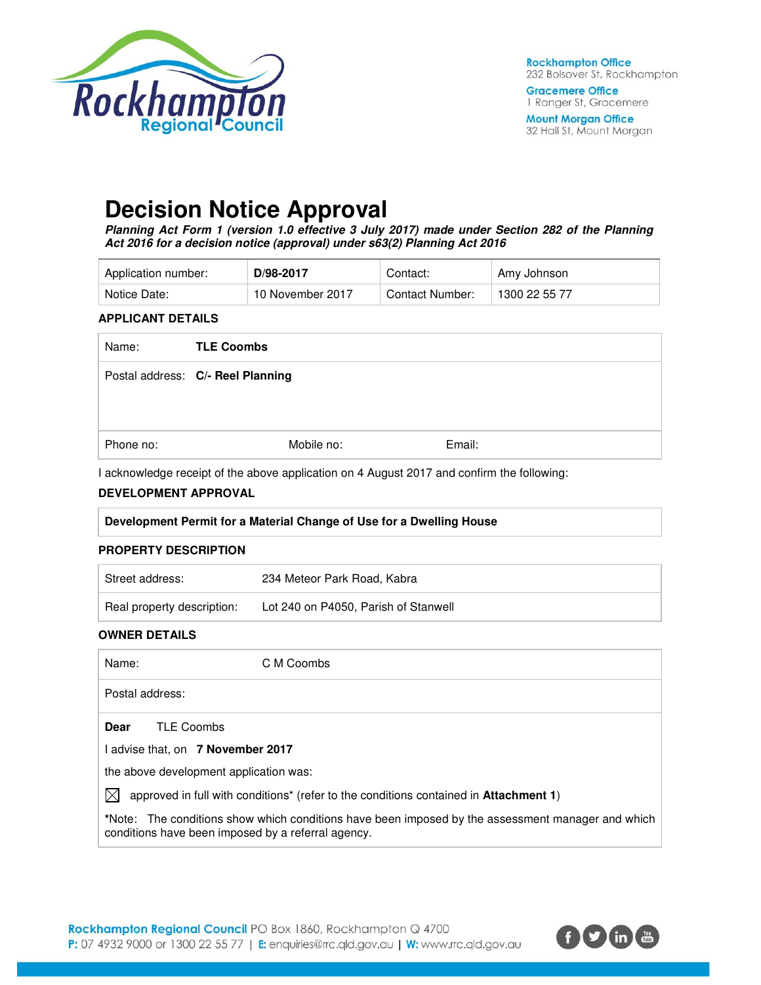

**Gracemere Office** 1 Ranger St, Gracemere

**Mount Morgan Office** 32 Hall St, Mount Morgan

# **Decision Notice Approval**

**Planning Act Form 1 (version 1.0 effective 3 July 2017) made under Section 282 of the Planning Act 2016 for a decision notice (approval) under s63(2) Planning Act 2016** 

| Application number: | D/98-2017        | Contact:        | Amy Johnson   |
|---------------------|------------------|-----------------|---------------|
| Notice Date:        | 10 November 2017 | Contact Number: | 1300 22 55 77 |

#### **APPLICANT DETAILS**

| Name:     | <b>TLE Coombs</b>                 |        |
|-----------|-----------------------------------|--------|
|           | Postal address: C/- Reel Planning |        |
| Phone no: | Mobile no:                        | Email: |

I acknowledge receipt of the above application on 4 August 2017 and confirm the following:

#### **DEVELOPMENT APPROVAL**

|  |  | Development Permit for a Material Change of Use for a Dwelling House |
|--|--|----------------------------------------------------------------------|
|  |  |                                                                      |

#### **PROPERTY DESCRIPTION**

| Street address:            | 234 Meteor Park Road, Kabra          |
|----------------------------|--------------------------------------|
| Real property description: | Lot 240 on P4050, Parish of Stanwell |

### **OWNER DETAILS**

Name: C M Coombs Postal address: **Dear** TLE Coombs I advise that, on **7 November 2017** the above development application was:  $\boxtimes$  approved in full with conditions<sup>\*</sup> (refer to the conditions contained in **Attachment 1**) **\***Note:The conditions show which conditions have been imposed by the assessment manager and which conditions have been imposed by a referral agency.

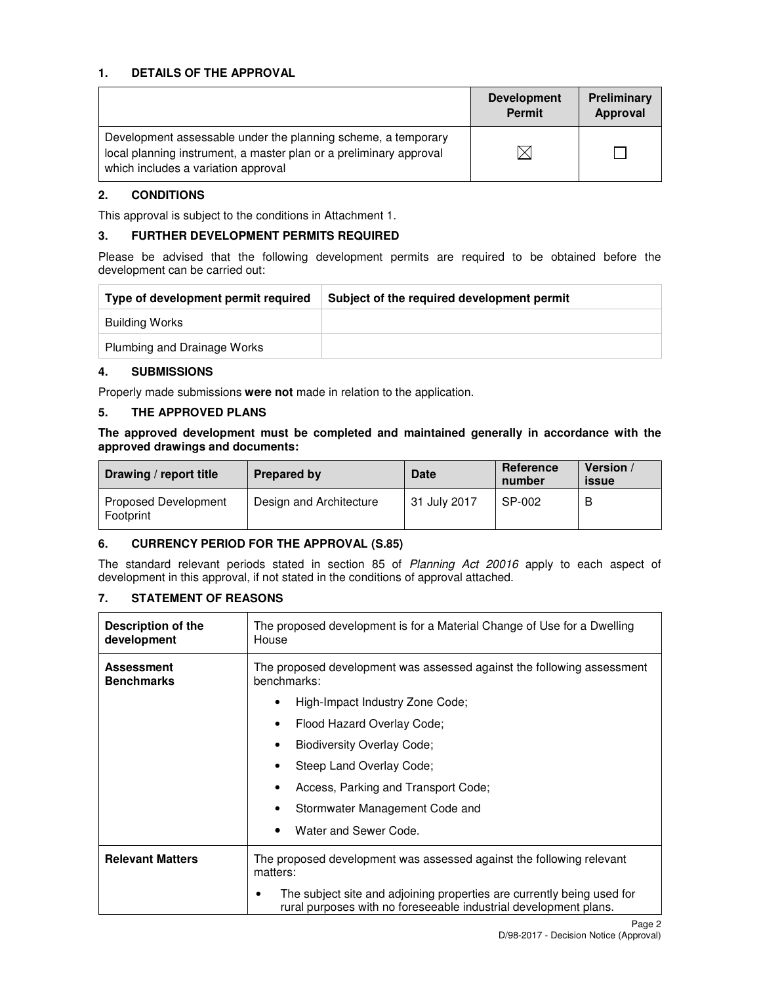### **1. DETAILS OF THE APPROVAL**

|                                                                                                                                                                            | <b>Development</b><br><b>Permit</b> | Preliminary<br>Approval |
|----------------------------------------------------------------------------------------------------------------------------------------------------------------------------|-------------------------------------|-------------------------|
| Development assessable under the planning scheme, a temporary<br>local planning instrument, a master plan or a preliminary approval<br>which includes a variation approval |                                     |                         |

#### **2. CONDITIONS**

This approval is subject to the conditions in Attachment 1.

#### **3. FURTHER DEVELOPMENT PERMITS REQUIRED**

Please be advised that the following development permits are required to be obtained before the development can be carried out:

| Type of development permit required | Subject of the required development permit |
|-------------------------------------|--------------------------------------------|
| Building Works                      |                                            |
| Plumbing and Drainage Works         |                                            |

#### **4. SUBMISSIONS**

Properly made submissions **were not** made in relation to the application.

#### **5. THE APPROVED PLANS**

**The approved development must be completed and maintained generally in accordance with the approved drawings and documents:** 

| Drawing / report title                   | <b>Prepared by</b>      | <b>Date</b>  | Reference<br>number | Version /<br>issue |
|------------------------------------------|-------------------------|--------------|---------------------|--------------------|
| <b>Proposed Development</b><br>Footprint | Design and Architecture | 31 July 2017 | SP-002              | В                  |

#### **6. CURRENCY PERIOD FOR THE APPROVAL (S.85)**

The standard relevant periods stated in section 85 of Planning Act 20016 apply to each aspect of development in this approval, if not stated in the conditions of approval attached.

## **7. STATEMENT OF REASONS**

| Description of the<br>development      | The proposed development is for a Material Change of Use for a Dwelling<br>House                                                                |  |  |
|----------------------------------------|-------------------------------------------------------------------------------------------------------------------------------------------------|--|--|
| <b>Assessment</b><br><b>Benchmarks</b> | The proposed development was assessed against the following assessment<br>benchmarks:                                                           |  |  |
|                                        | High-Impact Industry Zone Code:<br>٠                                                                                                            |  |  |
|                                        | Flood Hazard Overlay Code;<br>٠                                                                                                                 |  |  |
|                                        | <b>Biodiversity Overlay Code;</b>                                                                                                               |  |  |
|                                        | Steep Land Overlay Code;<br>٠                                                                                                                   |  |  |
|                                        | Access, Parking and Transport Code;                                                                                                             |  |  |
|                                        | Stormwater Management Code and<br>٠                                                                                                             |  |  |
|                                        | Water and Sewer Code.                                                                                                                           |  |  |
| <b>Relevant Matters</b>                | The proposed development was assessed against the following relevant<br>matters:                                                                |  |  |
|                                        | The subject site and adjoining properties are currently being used for<br>٠<br>rural purposes with no foreseeable industrial development plans. |  |  |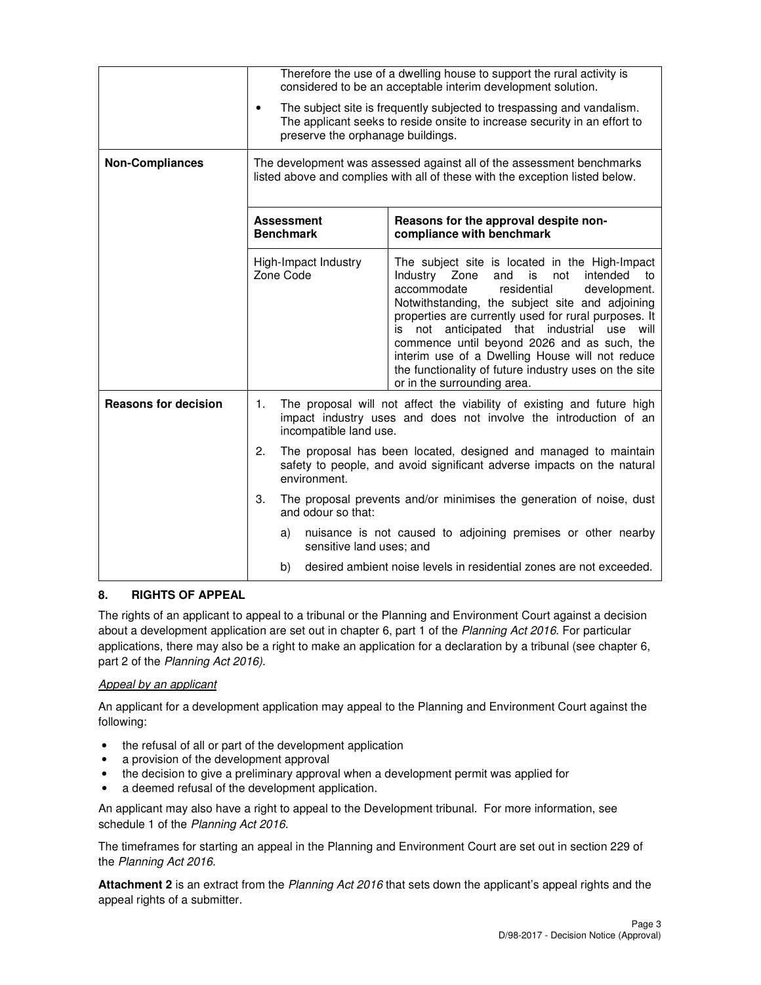|                             |                                                                                                                                                                                                                                                                                                                                                                                                                                                                                                                                   |                                                                                                                                                                                          | Therefore the use of a dwelling house to support the rural activity is<br>considered to be an acceptable interim development solution. |  |  |
|-----------------------------|-----------------------------------------------------------------------------------------------------------------------------------------------------------------------------------------------------------------------------------------------------------------------------------------------------------------------------------------------------------------------------------------------------------------------------------------------------------------------------------------------------------------------------------|------------------------------------------------------------------------------------------------------------------------------------------------------------------------------------------|----------------------------------------------------------------------------------------------------------------------------------------|--|--|
|                             | $\bullet$                                                                                                                                                                                                                                                                                                                                                                                                                                                                                                                         | The subject site is frequently subjected to trespassing and vandalism.<br>The applicant seeks to reside onsite to increase security in an effort to<br>preserve the orphanage buildings. |                                                                                                                                        |  |  |
| <b>Non-Compliances</b>      | The development was assessed against all of the assessment benchmarks<br>listed above and complies with all of these with the exception listed below.                                                                                                                                                                                                                                                                                                                                                                             |                                                                                                                                                                                          |                                                                                                                                        |  |  |
|                             | <b>Assessment</b><br><b>Benchmark</b>                                                                                                                                                                                                                                                                                                                                                                                                                                                                                             |                                                                                                                                                                                          | Reasons for the approval despite non-<br>compliance with benchmark                                                                     |  |  |
|                             | High-Impact Industry<br>The subject site is located in the High-Impact<br>Zone Code<br>Industry Zone<br>and is<br>intended<br>not<br>accommodate<br>residential<br>development.<br>Notwithstanding, the subject site and adjoining<br>properties are currently used for rural purposes. It<br>is not anticipated that industrial<br>use<br>commence until beyond 2026 and as such, the<br>interim use of a Dwelling House will not reduce<br>the functionality of future industry uses on the site<br>or in the surrounding area. |                                                                                                                                                                                          |                                                                                                                                        |  |  |
| <b>Reasons for decision</b> | 1.                                                                                                                                                                                                                                                                                                                                                                                                                                                                                                                                | The proposal will not affect the viability of existing and future high<br>impact industry uses and does not involve the introduction of an<br>incompatible land use.                     |                                                                                                                                        |  |  |
|                             | 2.                                                                                                                                                                                                                                                                                                                                                                                                                                                                                                                                | The proposal has been located, designed and managed to maintain<br>safety to people, and avoid significant adverse impacts on the natural<br>environment.                                |                                                                                                                                        |  |  |
|                             | 3.                                                                                                                                                                                                                                                                                                                                                                                                                                                                                                                                | The proposal prevents and/or minimises the generation of noise, dust<br>and odour so that:                                                                                               |                                                                                                                                        |  |  |
|                             | a)                                                                                                                                                                                                                                                                                                                                                                                                                                                                                                                                | sensitive land uses; and                                                                                                                                                                 | nuisance is not caused to adjoining premises or other nearby                                                                           |  |  |
|                             | b)                                                                                                                                                                                                                                                                                                                                                                                                                                                                                                                                |                                                                                                                                                                                          | desired ambient noise levels in residential zones are not exceeded.                                                                    |  |  |

# **8. RIGHTS OF APPEAL**

The rights of an applicant to appeal to a tribunal or the Planning and Environment Court against a decision about a development application are set out in chapter 6, part 1 of the Planning Act 2016. For particular applications, there may also be a right to make an application for a declaration by a tribunal (see chapter 6, part 2 of the Planning Act 2016).

# Appeal by an applicant

An applicant for a development application may appeal to the Planning and Environment Court against the following:

- the refusal of all or part of the development application
- a provision of the development approval
- the decision to give a preliminary approval when a development permit was applied for
- a deemed refusal of the development application.

An applicant may also have a right to appeal to the Development tribunal. For more information, see schedule 1 of the Planning Act 2016.

The timeframes for starting an appeal in the Planning and Environment Court are set out in section 229 of the Planning Act 2016.

**Attachment 2** is an extract from the Planning Act 2016 that sets down the applicant's appeal rights and the appeal rights of a submitter.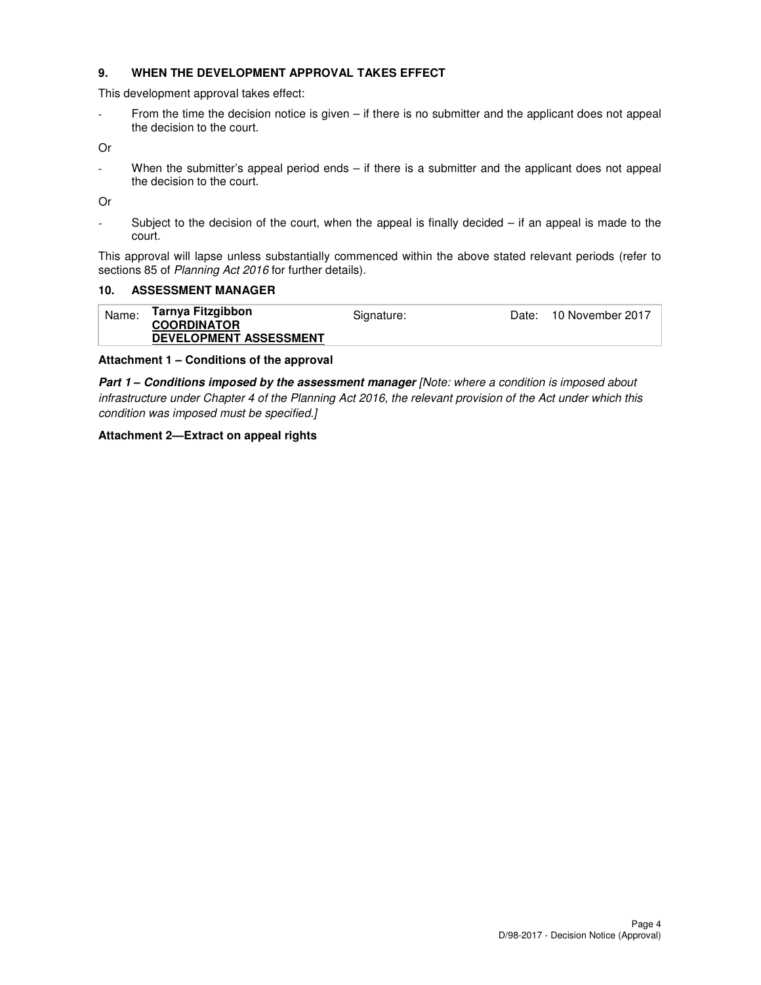#### **9. WHEN THE DEVELOPMENT APPROVAL TAKES EFFECT**

This development approval takes effect:

- From the time the decision notice is given – if there is no submitter and the applicant does not appeal the decision to the court.

Or

- When the submitter's appeal period ends – if there is a submitter and the applicant does not appeal the decision to the court.

Or

- Subject to the decision of the court, when the appeal is finally decided – if an appeal is made to the court.

This approval will lapse unless substantially commenced within the above stated relevant periods (refer to sections 85 of Planning Act 2016 for further details).

#### **10. ASSESSMENT MANAGER**

| Name: | Tarnya Fitzgibbon<br><b>COORDINATOR</b> | Signature: | Date: . | 10 November 2017 |
|-------|-----------------------------------------|------------|---------|------------------|
|       | <b>DEVELOPMENT ASSESSMENT</b>           |            |         |                  |

#### **Attachment 1 – Conditions of the approval**

**Part 1 – Conditions imposed by the assessment manager** [Note: where a condition is imposed about infrastructure under Chapter 4 of the Planning Act 2016, the relevant provision of the Act under which this condition was imposed must be specified.]

#### **Attachment 2—Extract on appeal rights**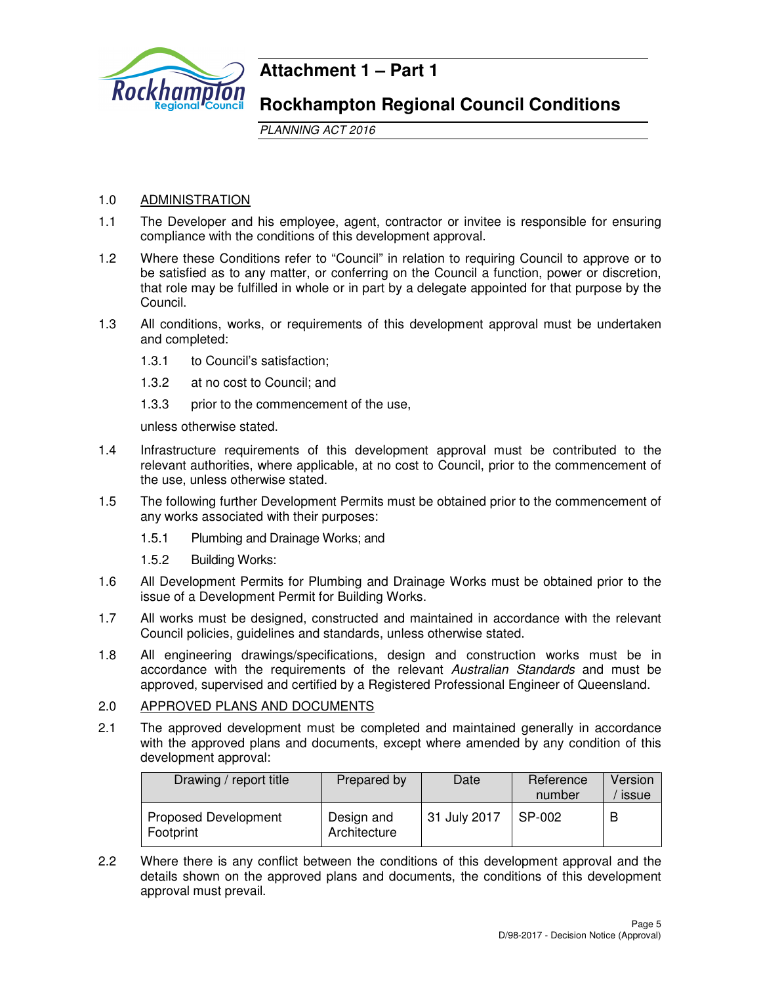

# **Attachment 1 – Part 1**

# **Rockhampton Regional Council Conditions**

PLANNING ACT 2016

# 1.0 ADMINISTRATION

- 1.1 The Developer and his employee, agent, contractor or invitee is responsible for ensuring compliance with the conditions of this development approval.
- 1.2 Where these Conditions refer to "Council" in relation to requiring Council to approve or to be satisfied as to any matter, or conferring on the Council a function, power or discretion, that role may be fulfilled in whole or in part by a delegate appointed for that purpose by the Council.
- 1.3 All conditions, works, or requirements of this development approval must be undertaken and completed:
	- 1.3.1 to Council's satisfaction;
	- 1.3.2 at no cost to Council; and
	- 1.3.3 prior to the commencement of the use,

unless otherwise stated.

- 1.4 Infrastructure requirements of this development approval must be contributed to the relevant authorities, where applicable, at no cost to Council, prior to the commencement of the use, unless otherwise stated.
- 1.5 The following further Development Permits must be obtained prior to the commencement of any works associated with their purposes:
	- 1.5.1 Plumbing and Drainage Works; and
	- 1.5.2 Building Works:
- 1.6 All Development Permits for Plumbing and Drainage Works must be obtained prior to the issue of a Development Permit for Building Works.
- 1.7 All works must be designed, constructed and maintained in accordance with the relevant Council policies, guidelines and standards, unless otherwise stated.
- 1.8 All engineering drawings/specifications, design and construction works must be in accordance with the requirements of the relevant Australian Standards and must be approved, supervised and certified by a Registered Professional Engineer of Queensland.

#### 2.0 APPROVED PLANS AND DOCUMENTS

2.1 The approved development must be completed and maintained generally in accordance with the approved plans and documents, except where amended by any condition of this development approval:

| Drawing / report title                   | Prepared by                | Date                      | Reference<br>number | Version<br>issue |
|------------------------------------------|----------------------------|---------------------------|---------------------|------------------|
| <b>Proposed Development</b><br>Footprint | Design and<br>Architecture | <sup>1</sup> 31 July 2017 | SP-002              | В                |

2.2 Where there is any conflict between the conditions of this development approval and the details shown on the approved plans and documents, the conditions of this development approval must prevail.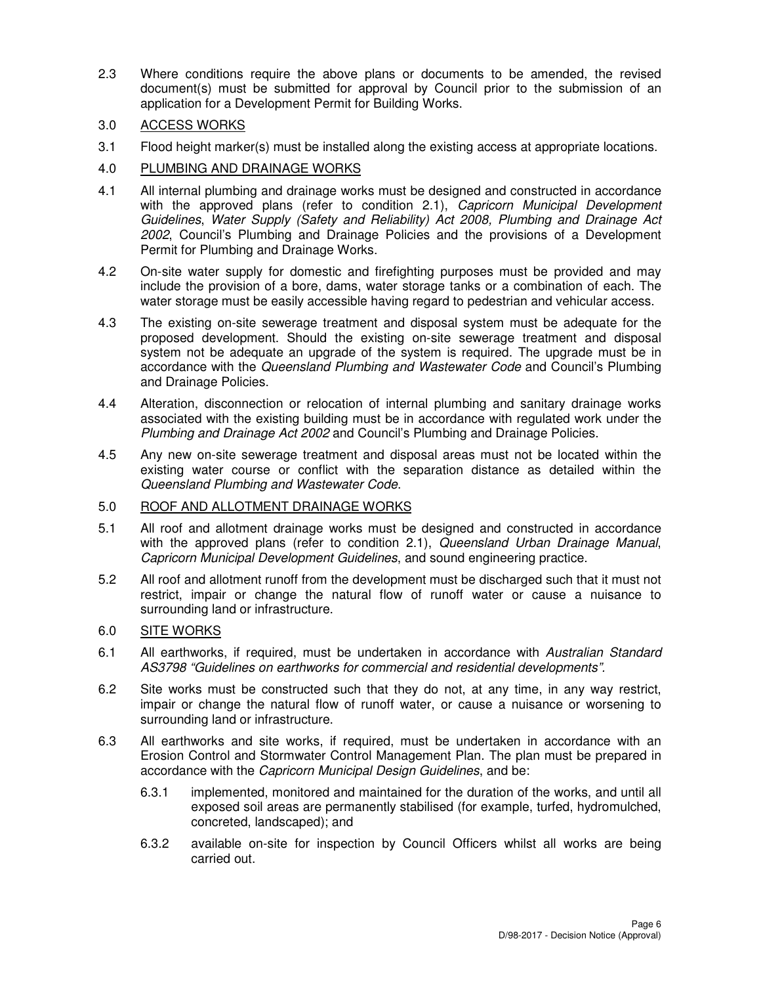2.3 Where conditions require the above plans or documents to be amended, the revised document(s) must be submitted for approval by Council prior to the submission of an application for a Development Permit for Building Works.

# 3.0 ACCESS WORKS

3.1 Flood height marker(s) must be installed along the existing access at appropriate locations.

# 4.0 PLUMBING AND DRAINAGE WORKS

- 4.1 All internal plumbing and drainage works must be designed and constructed in accordance with the approved plans (refer to condition 2.1), Capricorn Municipal Development Guidelines, Water Supply (Safety and Reliability) Act 2008, Plumbing and Drainage Act 2002, Council's Plumbing and Drainage Policies and the provisions of a Development Permit for Plumbing and Drainage Works.
- 4.2 On-site water supply for domestic and firefighting purposes must be provided and may include the provision of a bore, dams, water storage tanks or a combination of each. The water storage must be easily accessible having regard to pedestrian and vehicular access.
- 4.3 The existing on-site sewerage treatment and disposal system must be adequate for the proposed development. Should the existing on-site sewerage treatment and disposal system not be adequate an upgrade of the system is required. The upgrade must be in accordance with the Queensland Plumbing and Wastewater Code and Council's Plumbing and Drainage Policies.
- 4.4 Alteration, disconnection or relocation of internal plumbing and sanitary drainage works associated with the existing building must be in accordance with regulated work under the Plumbing and Drainage Act 2002 and Council's Plumbing and Drainage Policies.
- 4.5 Any new on-site sewerage treatment and disposal areas must not be located within the existing water course or conflict with the separation distance as detailed within the Queensland Plumbing and Wastewater Code.

# 5.0 ROOF AND ALLOTMENT DRAINAGE WORKS

- 5.1 All roof and allotment drainage works must be designed and constructed in accordance with the approved plans (refer to condition 2.1), Queensland Urban Drainage Manual, Capricorn Municipal Development Guidelines, and sound engineering practice.
- 5.2 All roof and allotment runoff from the development must be discharged such that it must not restrict, impair or change the natural flow of runoff water or cause a nuisance to surrounding land or infrastructure.

# 6.0 SITE WORKS

- 6.1 All earthworks, if required, must be undertaken in accordance with Australian Standard AS3798 "Guidelines on earthworks for commercial and residential developments".
- 6.2 Site works must be constructed such that they do not, at any time, in any way restrict, impair or change the natural flow of runoff water, or cause a nuisance or worsening to surrounding land or infrastructure.
- 6.3 All earthworks and site works, if required, must be undertaken in accordance with an Erosion Control and Stormwater Control Management Plan. The plan must be prepared in accordance with the Capricorn Municipal Design Guidelines, and be:
	- 6.3.1 implemented, monitored and maintained for the duration of the works, and until all exposed soil areas are permanently stabilised (for example, turfed, hydromulched, concreted, landscaped); and
	- 6.3.2 available on-site for inspection by Council Officers whilst all works are being carried out.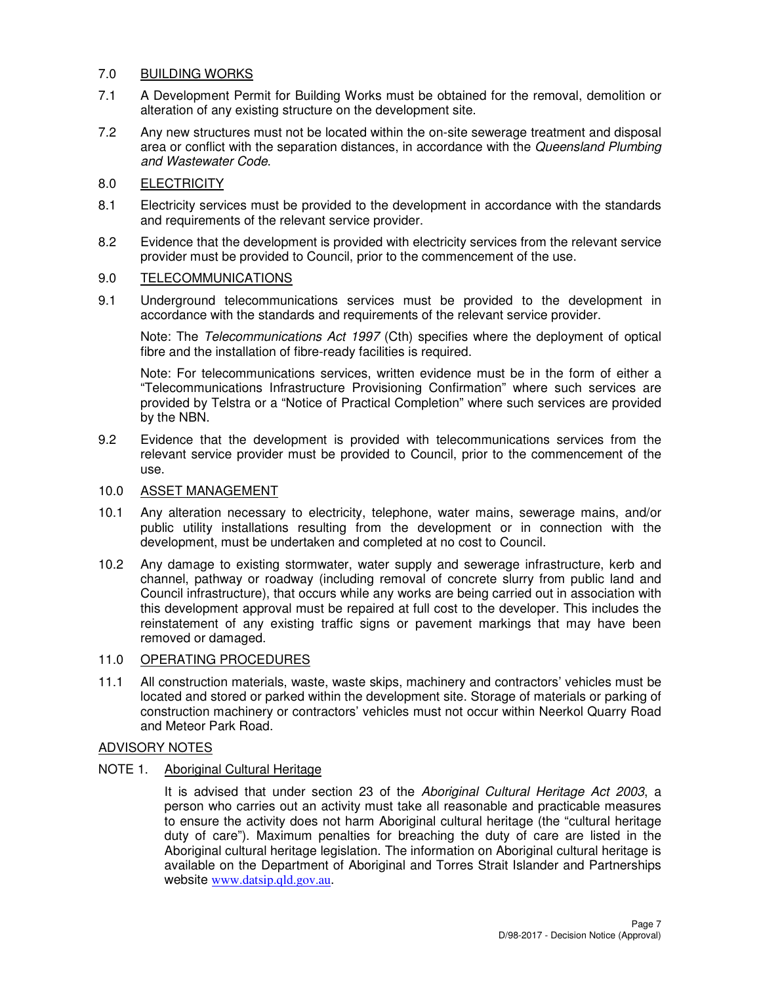## 7.0 BUILDING WORKS

- 7.1 A Development Permit for Building Works must be obtained for the removal, demolition or alteration of any existing structure on the development site.
- 7.2 Any new structures must not be located within the on-site sewerage treatment and disposal area or conflict with the separation distances, in accordance with the Queensland Plumbing and Wastewater Code.

# 8.0 ELECTRICITY

- 8.1 Electricity services must be provided to the development in accordance with the standards and requirements of the relevant service provider.
- 8.2 Evidence that the development is provided with electricity services from the relevant service provider must be provided to Council, prior to the commencement of the use.

### 9.0 TELECOMMUNICATIONS

9.1 Underground telecommunications services must be provided to the development in accordance with the standards and requirements of the relevant service provider.

Note: The Telecommunications Act 1997 (Cth) specifies where the deployment of optical fibre and the installation of fibre-ready facilities is required.

Note: For telecommunications services, written evidence must be in the form of either a "Telecommunications Infrastructure Provisioning Confirmation" where such services are provided by Telstra or a "Notice of Practical Completion" where such services are provided by the NBN.

9.2 Evidence that the development is provided with telecommunications services from the relevant service provider must be provided to Council, prior to the commencement of the use.

#### 10.0 ASSET MANAGEMENT

- 10.1 Any alteration necessary to electricity, telephone, water mains, sewerage mains, and/or public utility installations resulting from the development or in connection with the development, must be undertaken and completed at no cost to Council.
- 10.2 Any damage to existing stormwater, water supply and sewerage infrastructure, kerb and channel, pathway or roadway (including removal of concrete slurry from public land and Council infrastructure), that occurs while any works are being carried out in association with this development approval must be repaired at full cost to the developer. This includes the reinstatement of any existing traffic signs or pavement markings that may have been removed or damaged.

# 11.0 OPERATING PROCEDURES

11.1 All construction materials, waste, waste skips, machinery and contractors' vehicles must be located and stored or parked within the development site. Storage of materials or parking of construction machinery or contractors' vehicles must not occur within Neerkol Quarry Road and Meteor Park Road.

# ADVISORY NOTES

NOTE 1. Aboriginal Cultural Heritage

It is advised that under section 23 of the Aboriginal Cultural Heritage Act 2003, a person who carries out an activity must take all reasonable and practicable measures to ensure the activity does not harm Aboriginal cultural heritage (the "cultural heritage duty of care"). Maximum penalties for breaching the duty of care are listed in the Aboriginal cultural heritage legislation. The information on Aboriginal cultural heritage is available on the Department of Aboriginal and Torres Strait Islander and Partnerships website www.datsip.qld.gov.au.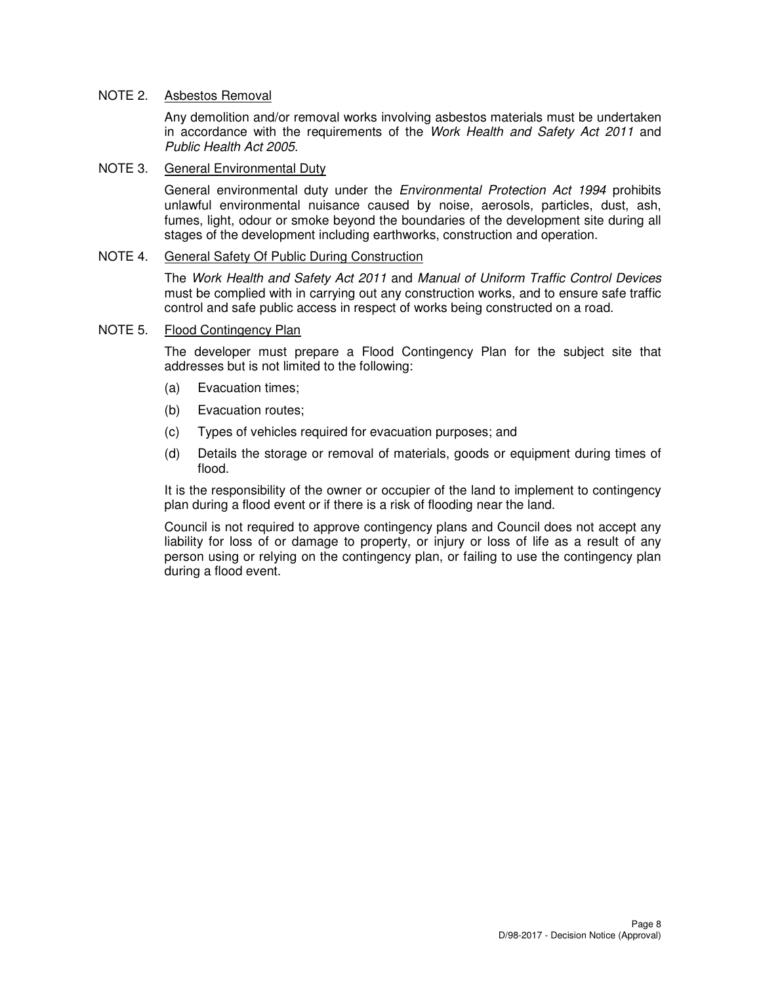### NOTE 2. Asbestos Removal

Any demolition and/or removal works involving asbestos materials must be undertaken in accordance with the requirements of the Work Health and Safety Act 2011 and Public Health Act 2005.

#### NOTE 3. General Environmental Duty

General environmental duty under the *Environmental Protection Act 1994* prohibits unlawful environmental nuisance caused by noise, aerosols, particles, dust, ash, fumes, light, odour or smoke beyond the boundaries of the development site during all stages of the development including earthworks, construction and operation.

### NOTE 4. General Safety Of Public During Construction

The Work Health and Safety Act 2011 and Manual of Uniform Traffic Control Devices must be complied with in carrying out any construction works, and to ensure safe traffic control and safe public access in respect of works being constructed on a road.

### NOTE 5. Flood Contingency Plan

The developer must prepare a Flood Contingency Plan for the subject site that addresses but is not limited to the following:

- (a) Evacuation times;
- (b) Evacuation routes;
- (c) Types of vehicles required for evacuation purposes; and
- (d) Details the storage or removal of materials, goods or equipment during times of flood.

It is the responsibility of the owner or occupier of the land to implement to contingency plan during a flood event or if there is a risk of flooding near the land.

Council is not required to approve contingency plans and Council does not accept any liability for loss of or damage to property, or injury or loss of life as a result of any person using or relying on the contingency plan, or failing to use the contingency plan during a flood event.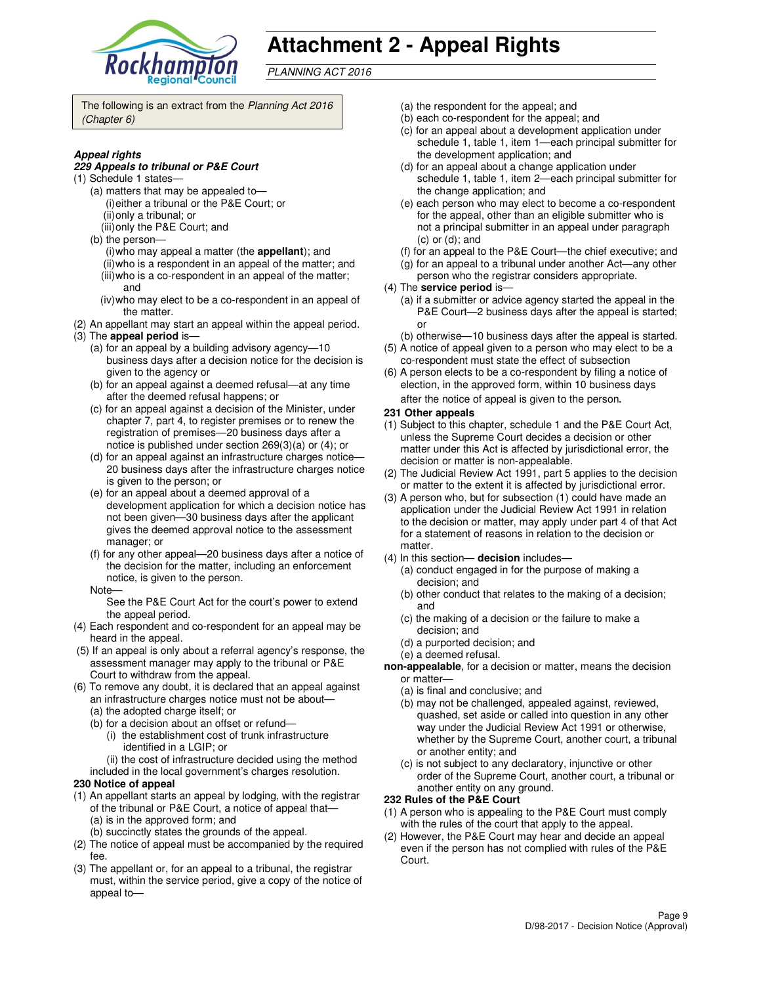

# **Attachment 2 - Appeal Rights**

PLANNING ACT 2016

The following is an extract from the Planning Act 2016 (Chapter 6)

#### **Appeal rights**

#### **229 Appeals to tribunal or P&E Court**

- (1) Schedule 1 states—
	- (a) matters that may be appealed to— (i) either a tribunal or the P&E Court; or (ii) only a tribunal; or
	- (iii) only the P&E Court; and
	- (b) the person—
		- (i) who may appeal a matter (the **appellant**); and (ii) who is a respondent in an appeal of the matter; and (iii) who is a co-respondent in an appeal of the matter;
		- and
	- (iv) who may elect to be a co-respondent in an appeal of the matter.
- (2) An appellant may start an appeal within the appeal period. (3) The **appeal period** is—
	- (a) for an appeal by a building advisory agency—10 business days after a decision notice for the decision is given to the agency or
	- (b) for an appeal against a deemed refusal—at any time after the deemed refusal happens; or
	- (c) for an appeal against a decision of the Minister, under chapter 7, part 4, to register premises or to renew the registration of premises—20 business days after a notice is published under section 269(3)(a) or (4); or
	- (d) for an appeal against an infrastructure charges notice— 20 business days after the infrastructure charges notice is given to the person; or
	- (e) for an appeal about a deemed approval of a development application for which a decision notice has not been given—30 business days after the applicant gives the deemed approval notice to the assessment manager; or
	- (f) for any other appeal—20 business days after a notice of the decision for the matter, including an enforcement notice, is given to the person.
	- Note—

See the P&E Court Act for the court's power to extend the appeal period.

- (4) Each respondent and co-respondent for an appeal may be heard in the appeal.
- (5) If an appeal is only about a referral agency's response, the assessment manager may apply to the tribunal or P&E Court to withdraw from the appeal.
- (6) To remove any doubt, it is declared that an appeal against an infrastructure charges notice must not be about—
	- (a) the adopted charge itself; or
	- (b) for a decision about an offset or refund—
		- (i) the establishment cost of trunk infrastructure identified in a LGIP; or
		- (ii) the cost of infrastructure decided using the method
	- included in the local government's charges resolution.
- **230 Notice of appeal**
- (1) An appellant starts an appeal by lodging, with the registrar of the tribunal or P&E Court, a notice of appeal that— (a) is in the approved form; and
	- (b) succinctly states the grounds of the appeal.
- (2) The notice of appeal must be accompanied by the required fee.
- (3) The appellant or, for an appeal to a tribunal, the registrar must, within the service period, give a copy of the notice of appeal to—
- (a) the respondent for the appeal; and
- (b) each co-respondent for the appeal; and
- (c) for an appeal about a development application under schedule 1, table 1, item 1—each principal submitter for the development application; and
- (d) for an appeal about a change application under schedule 1, table 1, item 2—each principal submitter for the change application; and
- (e) each person who may elect to become a co-respondent for the appeal, other than an eligible submitter who is not a principal submitter in an appeal under paragraph (c) or (d); and
- (f) for an appeal to the P&E Court—the chief executive; and
- (g) for an appeal to a tribunal under another Act—any other
- person who the registrar considers appropriate.
- (4) The **service period** is—
	- (a) if a submitter or advice agency started the appeal in the P&E Court—2 business days after the appeal is started; or
- (b) otherwise—10 business days after the appeal is started. (5) A notice of appeal given to a person who may elect to be a
- co-respondent must state the effect of subsection (6) A person elects to be a co-respondent by filing a notice of
- election, in the approved form, within 10 business days after the notice of appeal is given to the person*.*
- **231 Other appeals**
- (1) Subject to this chapter, schedule 1 and the P&E Court Act, unless the Supreme Court decides a decision or other matter under this Act is affected by jurisdictional error, the decision or matter is non-appealable.
- (2) The Judicial Review Act 1991, part 5 applies to the decision or matter to the extent it is affected by jurisdictional error.
- (3) A person who, but for subsection (1) could have made an application under the Judicial Review Act 1991 in relation to the decision or matter, may apply under part 4 of that Act for a statement of reasons in relation to the decision or matter.
- (4) In this section— **decision** includes—
	- (a) conduct engaged in for the purpose of making a decision; and
	- (b) other conduct that relates to the making of a decision; and
	- (c) the making of a decision or the failure to make a decision; and
	- (d) a purported decision; and
	- (e) a deemed refusal.
- **non-appealable**, for a decision or matter, means the decision or matter—
	- (a) is final and conclusive; and
	- (b) may not be challenged, appealed against, reviewed, quashed, set aside or called into question in any other way under the Judicial Review Act 1991 or otherwise, whether by the Supreme Court, another court, a tribunal or another entity; and
	- (c) is not subject to any declaratory, injunctive or other order of the Supreme Court, another court, a tribunal or another entity on any ground.

#### **232 Rules of the P&E Court**

- (1) A person who is appealing to the P&E Court must comply with the rules of the court that apply to the appeal.
- (2) However, the P&E Court may hear and decide an appeal even if the person has not complied with rules of the P&E Court.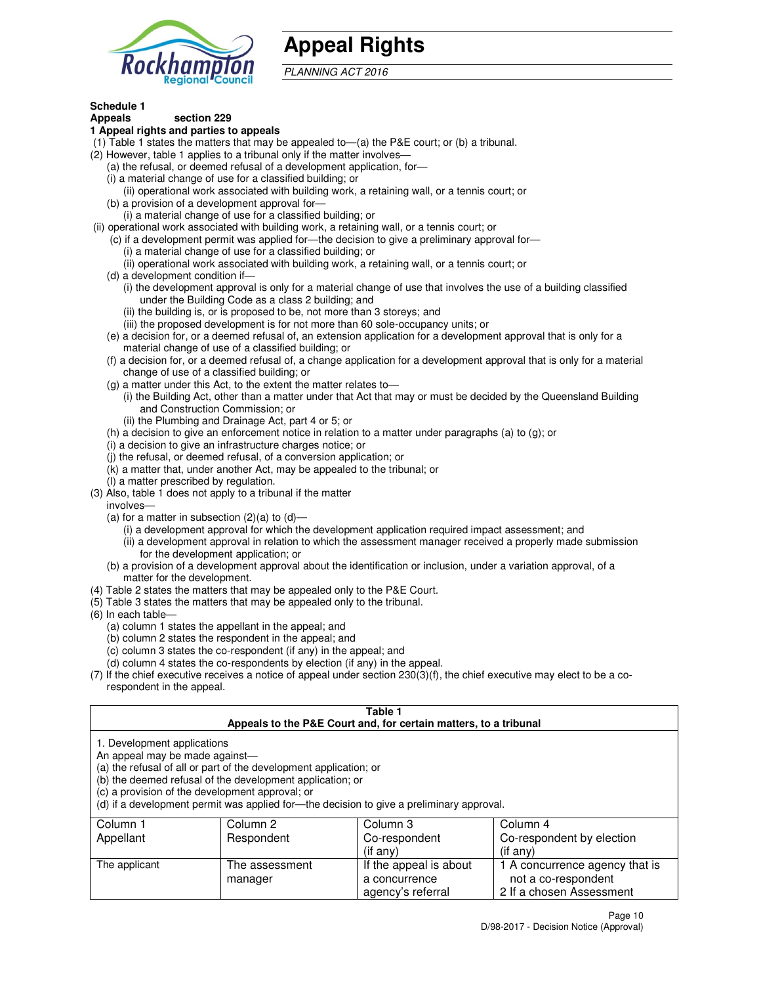

# **Appeal Rights**

PLANNING ACT 2016

#### **Schedule 1 Appeals section 229**

## **1 Appeal rights and parties to appeals**

- (1) Table 1 states the matters that may be appealed to—(a) the P&E court; or (b) a tribunal.
- (2) However, table 1 applies to a tribunal only if the matter involves—
	- (a) the refusal, or deemed refusal of a development application, for—
	- (i) a material change of use for a classified building; or
	- (ii) operational work associated with building work, a retaining wall, or a tennis court; or (b) a provision of a development approval for—
	- (i) a material change of use for a classified building; or
- (ii) operational work associated with building work, a retaining wall, or a tennis court; or
	- (c) if a development permit was applied for—the decision to give a preliminary approval for—
		- (i) a material change of use for a classified building; or
		- (ii) operational work associated with building work, a retaining wall, or a tennis court; or
	- (d) a development condition if—
		- (i) the development approval is only for a material change of use that involves the use of a building classified under the Building Code as a class 2 building; and
		- (ii) the building is, or is proposed to be, not more than 3 storeys; and
		- (iii) the proposed development is for not more than 60 sole-occupancy units; or
	- (e) a decision for, or a deemed refusal of, an extension application for a development approval that is only for a material change of use of a classified building; or
	- (f) a decision for, or a deemed refusal of, a change application for a development approval that is only for a material change of use of a classified building; or
	- (g) a matter under this Act, to the extent the matter relates to—
		- (i) the Building Act, other than a matter under that Act that may or must be decided by the Queensland Building and Construction Commission; or
		- (ii) the Plumbing and Drainage Act, part 4 or 5; or
	- (h) a decision to give an enforcement notice in relation to a matter under paragraphs (a) to (g); or
	- (i) a decision to give an infrastructure charges notice; or
	- (j) the refusal, or deemed refusal, of a conversion application; or
	- (k) a matter that, under another Act, may be appealed to the tribunal; or
	- (l) a matter prescribed by regulation.
- (3) Also, table 1 does not apply to a tribunal if the matter
- involves—
	- (a) for a matter in subsection  $(2)(a)$  to  $(d)$ 
		- (i) a development approval for which the development application required impact assessment; and
		- (ii) a development approval in relation to which the assessment manager received a properly made submission for the development application; or
	- (b) a provision of a development approval about the identification or inclusion, under a variation approval, of a matter for the development.
- (4) Table 2 states the matters that may be appealed only to the P&E Court.
- (5) Table 3 states the matters that may be appealed only to the tribunal.
- (6) In each table—
	- (a) column 1 states the appellant in the appeal; and
	- (b) column 2 states the respondent in the appeal; and
	- (c) column 3 states the co-respondent (if any) in the appeal; and
	- (d) column 4 states the co-respondents by election (if any) in the appeal.
- (7) If the chief executive receives a notice of appeal under section 230(3)(f), the chief executive may elect to be a corespondent in the appeal.

### **Table 1**

|                                                               |                                                                                                                                                                                   | Appeals to the P&E Court and, for certain matters, to a tribunal                         |                                |
|---------------------------------------------------------------|-----------------------------------------------------------------------------------------------------------------------------------------------------------------------------------|------------------------------------------------------------------------------------------|--------------------------------|
| 1. Development applications<br>An appeal may be made against- | (a) the refusal of all or part of the development application; or<br>(b) the deemed refusal of the development application; or<br>(c) a provision of the development approval; or | (d) if a development permit was applied for—the decision to give a preliminary approval. |                                |
| Column 1                                                      | Column 2                                                                                                                                                                          | Column 3                                                                                 | Column 4                       |
| Appellant                                                     | Respondent                                                                                                                                                                        | Co-respondent                                                                            | Co-respondent by election      |
|                                                               |                                                                                                                                                                                   | (if any)                                                                                 | $($ if any $)$                 |
| The applicant                                                 | The assessment                                                                                                                                                                    | If the appeal is about                                                                   | 1 A concurrence agency that is |
|                                                               | manager                                                                                                                                                                           | a concurrence                                                                            | not a co-respondent            |

agency's referral

2 If a chosen Assessment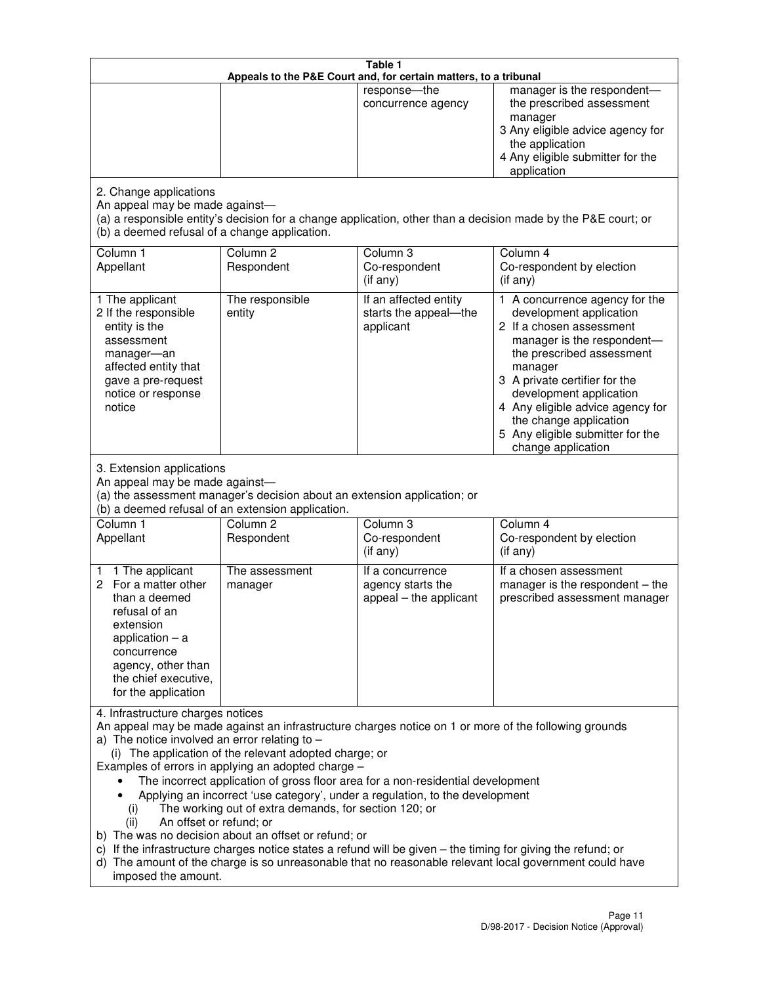|                                                                                                                                                                                                      |                                                                                                                                                                                                                               | Table 1<br>Appeals to the P&E Court and, for certain matters, to a tribunal                                                                                                                                                                                                     |                                                                                                                                                                                                                                                                                                                                                 |
|------------------------------------------------------------------------------------------------------------------------------------------------------------------------------------------------------|-------------------------------------------------------------------------------------------------------------------------------------------------------------------------------------------------------------------------------|---------------------------------------------------------------------------------------------------------------------------------------------------------------------------------------------------------------------------------------------------------------------------------|-------------------------------------------------------------------------------------------------------------------------------------------------------------------------------------------------------------------------------------------------------------------------------------------------------------------------------------------------|
|                                                                                                                                                                                                      |                                                                                                                                                                                                                               | response-the<br>concurrence agency                                                                                                                                                                                                                                              | manager is the respondent-<br>the prescribed assessment<br>manager<br>3 Any eligible advice agency for<br>the application<br>4 Any eligible submitter for the<br>application                                                                                                                                                                    |
| 2. Change applications<br>An appeal may be made against-<br>(b) a deemed refusal of a change application.                                                                                            |                                                                                                                                                                                                                               |                                                                                                                                                                                                                                                                                 | (a) a responsible entity's decision for a change application, other than a decision made by the P&E court; or                                                                                                                                                                                                                                   |
| Column 1<br>Appellant                                                                                                                                                                                | Column <sub>2</sub><br>Respondent                                                                                                                                                                                             | Column 3<br>Co-respondent<br>(if any)                                                                                                                                                                                                                                           | Column 4<br>Co-respondent by election<br>(if any)                                                                                                                                                                                                                                                                                               |
| 1 The applicant<br>2 If the responsible<br>entity is the<br>assessment<br>manager-an<br>affected entity that<br>gave a pre-request<br>notice or response<br>notice                                   | The responsible<br>entity                                                                                                                                                                                                     | If an affected entity<br>starts the appeal-the<br>applicant                                                                                                                                                                                                                     | 1 A concurrence agency for the<br>development application<br>2 If a chosen assessment<br>manager is the respondent-<br>the prescribed assessment<br>manager<br>3 A private certifier for the<br>development application<br>4 Any eligible advice agency for<br>the change application<br>5 Any eligible submitter for the<br>change application |
| 3. Extension applications<br>An appeal may be made against-<br>Column 1<br>Appellant                                                                                                                 | (a) the assessment manager's decision about an extension application; or<br>(b) a deemed refusal of an extension application.<br>Column <sub>2</sub><br>Respondent                                                            | Column 3<br>Co-respondent                                                                                                                                                                                                                                                       | Column 4<br>Co-respondent by election                                                                                                                                                                                                                                                                                                           |
| 1 The applicant<br>1<br>2 For a matter other<br>than a deemed<br>refusal of an<br>extension<br>application $-$ a<br>concurrence<br>agency, other than<br>the chief executive,<br>for the application | The assessment<br>manager                                                                                                                                                                                                     | (if any)<br>If a concurrence<br>agency starts the<br>appeal - the applicant                                                                                                                                                                                                     | (if any)<br>If a chosen assessment<br>manager is the respondent $-$ the<br>prescribed assessment manager                                                                                                                                                                                                                                        |
| 4. Infrastructure charges notices<br>a) The notice involved an error relating to $-$<br>(i)<br>An offset or refund; or<br>(ii)<br>imposed the amount.                                                | (i) The application of the relevant adopted charge; or<br>Examples of errors in applying an adopted charge -<br>The working out of extra demands, for section 120; or<br>b) The was no decision about an offset or refund; or | The incorrect application of gross floor area for a non-residential development<br>Applying an incorrect 'use category', under a regulation, to the development<br>c) If the infrastructure charges notice states a refund will be given - the timing for giving the refund; or | An appeal may be made against an infrastructure charges notice on 1 or more of the following grounds<br>d) The amount of the charge is so unreasonable that no reasonable relevant local government could have                                                                                                                                  |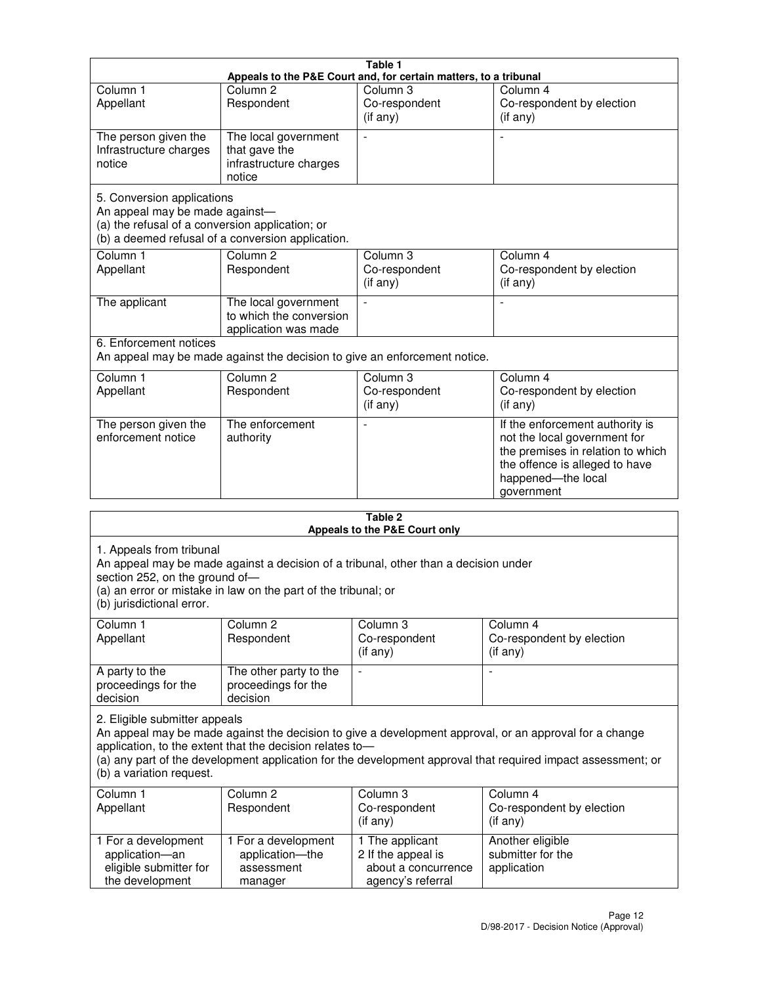|                                                                                                                 |                                                                           | Table 1                                                          |                                                                                                                                                                            |
|-----------------------------------------------------------------------------------------------------------------|---------------------------------------------------------------------------|------------------------------------------------------------------|----------------------------------------------------------------------------------------------------------------------------------------------------------------------------|
|                                                                                                                 |                                                                           | Appeals to the P&E Court and, for certain matters, to a tribunal |                                                                                                                                                                            |
| Column <sub>1</sub><br>Appellant                                                                                | Column $2$<br>Respondent                                                  | Column 3<br>Co-respondent<br>(if any)                            | Column 4<br>Co-respondent by election<br>(if any)                                                                                                                          |
| The person given the<br>Infrastructure charges<br>notice                                                        | The local government<br>that gave the<br>infrastructure charges<br>notice |                                                                  |                                                                                                                                                                            |
| 5. Conversion applications<br>An appeal may be made against-<br>(a) the refusal of a conversion application; or | (b) a deemed refusal of a conversion application.                         |                                                                  |                                                                                                                                                                            |
| Column <sub>1</sub><br>Appellant                                                                                | Column <sub>2</sub><br>Respondent                                         | Column 3<br>Co-respondent<br>(if any)                            | Column 4<br>Co-respondent by election<br>(i f any)                                                                                                                         |
| The applicant                                                                                                   | The local government<br>to which the conversion<br>application was made   |                                                                  |                                                                                                                                                                            |
| 6. Enforcement notices                                                                                          | An appeal may be made against the decision to give an enforcement notice. |                                                                  |                                                                                                                                                                            |
| Column 1<br>Appellant                                                                                           | Column <sub>2</sub><br>Respondent                                         | Column 3<br>Co-respondent<br>(if any)                            | Column 4<br>Co-respondent by election<br>(if any)                                                                                                                          |
| The person given the<br>enforcement notice                                                                      | The enforcement<br>authority                                              |                                                                  | If the enforcement authority is<br>not the local government for<br>the premises in relation to which<br>the offence is alleged to have<br>happened-the local<br>government |
|                                                                                                                 |                                                                           | 2 Tahle                                                          |                                                                                                                                                                            |

|                                                                                         |                                                                                                                                                       | Table 2<br>Appeals to the P&E Court only                                          |                                                                                                                                                                                                                        |
|-----------------------------------------------------------------------------------------|-------------------------------------------------------------------------------------------------------------------------------------------------------|-----------------------------------------------------------------------------------|------------------------------------------------------------------------------------------------------------------------------------------------------------------------------------------------------------------------|
| 1. Appeals from tribunal<br>section 252, on the ground of-<br>(b) jurisdictional error. | An appeal may be made against a decision of a tribunal, other than a decision under<br>(a) an error or mistake in law on the part of the tribunal; or |                                                                                   |                                                                                                                                                                                                                        |
| Column <sub>1</sub><br>Appellant                                                        | Column <sub>2</sub><br>Respondent                                                                                                                     | Column 3<br>Co-respondent<br>(if any)                                             | Column <sub>4</sub><br>Co-respondent by election<br>(if any)                                                                                                                                                           |
| A party to the<br>proceedings for the<br>decision                                       | The other party to the<br>proceedings for the<br>decision                                                                                             | $\blacksquare$                                                                    |                                                                                                                                                                                                                        |
| 2. Eligible submitter appeals<br>(b) a variation request.                               | application, to the extent that the decision relates to-                                                                                              |                                                                                   | An appeal may be made against the decision to give a development approval, or an approval for a change<br>(a) any part of the development application for the development approval that required impact assessment; or |
| Column 1<br>Appellant                                                                   | Column <sub>2</sub><br>Respondent                                                                                                                     | Column <sub>3</sub><br>Co-respondent<br>(i f any)                                 | Column 4<br>Co-respondent by election<br>(i f any)                                                                                                                                                                     |
| 1 For a development<br>application-an<br>eligible submitter for<br>the development      | 1 For a development<br>application-the<br>assessment<br>manager                                                                                       | 1 The applicant<br>2 If the appeal is<br>about a concurrence<br>agency's referral | Another eligible<br>submitter for the<br>application                                                                                                                                                                   |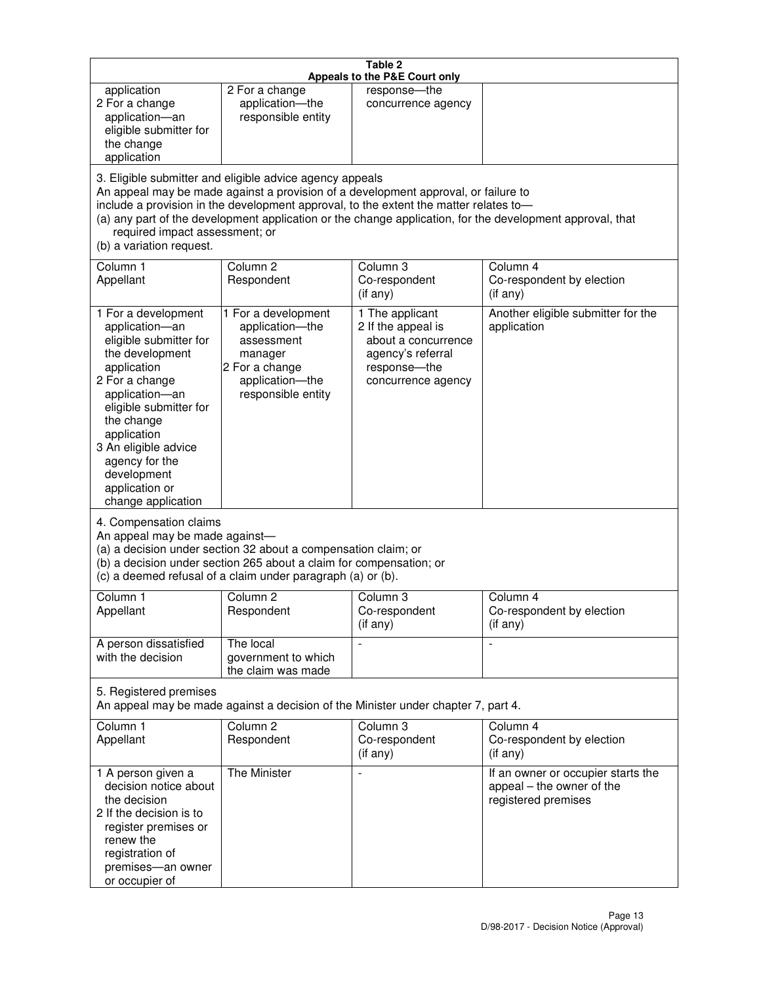| Table 2<br>Appeals to the P&E Court only                                                                                                                                                                                                                                                      |                                                                                                                                                                                                                                         |                                                                                                                         |                                                                                                           |
|-----------------------------------------------------------------------------------------------------------------------------------------------------------------------------------------------------------------------------------------------------------------------------------------------|-----------------------------------------------------------------------------------------------------------------------------------------------------------------------------------------------------------------------------------------|-------------------------------------------------------------------------------------------------------------------------|-----------------------------------------------------------------------------------------------------------|
| application<br>2 For a change<br>application-an<br>eligible submitter for<br>the change<br>application                                                                                                                                                                                        | 2 For a change<br>application-the<br>responsible entity                                                                                                                                                                                 | response-the<br>concurrence agency                                                                                      |                                                                                                           |
| required impact assessment; or<br>(b) a variation request.                                                                                                                                                                                                                                    | 3. Eligible submitter and eligible advice agency appeals<br>An appeal may be made against a provision of a development approval, or failure to<br>include a provision in the development approval, to the extent the matter relates to- |                                                                                                                         | (a) any part of the development application or the change application, for the development approval, that |
| Column 1<br>Appellant                                                                                                                                                                                                                                                                         | Column <sub>2</sub><br>Respondent                                                                                                                                                                                                       | Column <sub>3</sub><br>Co-respondent<br>(if any)                                                                        | Column 4<br>Co-respondent by election<br>(i f any)                                                        |
| 1 For a development<br>application-an<br>eligible submitter for<br>the development<br>application<br>2 For a change<br>application-an<br>eligible submitter for<br>the change<br>application<br>3 An eligible advice<br>agency for the<br>development<br>application or<br>change application | 1 For a development<br>application-the<br>assessment<br>manager<br>2 For a change<br>application-the<br>responsible entity                                                                                                              | 1 The applicant<br>2 If the appeal is<br>about a concurrence<br>agency's referral<br>response-the<br>concurrence agency | Another eligible submitter for the<br>application                                                         |
| 4. Compensation claims<br>An appeal may be made against-                                                                                                                                                                                                                                      | (a) a decision under section 32 about a compensation claim; or<br>(b) a decision under section 265 about a claim for compensation; or<br>(c) a deemed refusal of a claim under paragraph (a) or (b).                                    |                                                                                                                         |                                                                                                           |
| Column 1<br>Appellant                                                                                                                                                                                                                                                                         | Column 2<br>Respondent                                                                                                                                                                                                                  | Column 3<br>Co-respondent<br>(if any)                                                                                   | Column 4<br>Co-respondent by election<br>(if any)                                                         |
| A person dissatisfied<br>with the decision                                                                                                                                                                                                                                                    | The local<br>government to which<br>the claim was made                                                                                                                                                                                  |                                                                                                                         | $\blacksquare$                                                                                            |
| 5. Registered premises                                                                                                                                                                                                                                                                        | An appeal may be made against a decision of the Minister under chapter 7, part 4.                                                                                                                                                       |                                                                                                                         |                                                                                                           |
| Column 1<br>Appellant                                                                                                                                                                                                                                                                         | Column <sub>2</sub><br>Respondent                                                                                                                                                                                                       | Column 3<br>Co-respondent<br>(if any)                                                                                   | Column 4<br>Co-respondent by election<br>(if any)                                                         |
| 1 A person given a<br>decision notice about<br>the decision<br>2 If the decision is to<br>register premises or<br>renew the<br>registration of<br>premises-an owner<br>or occupier of                                                                                                         | The Minister                                                                                                                                                                                                                            | $\overline{a}$                                                                                                          | If an owner or occupier starts the<br>appeal - the owner of the<br>registered premises                    |